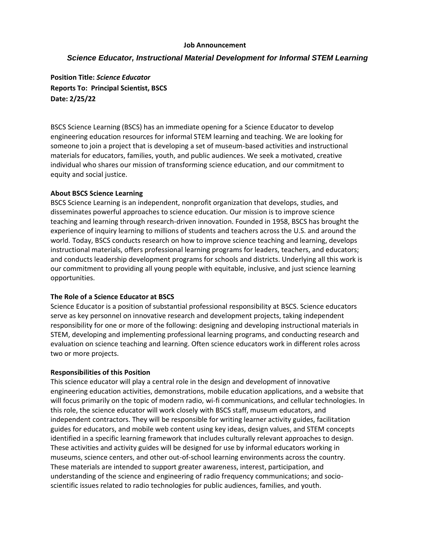#### **Job Announcement**

# *Science Educator, Instructional Material Development for Informal STEM Learning*

**Position Title:** *Science Educator* **Reports To: Principal Scientist, BSCS Date: 2/25/22**

BSCS Science Learning (BSCS) has an immediate opening for a Science Educator to develop engineering education resources for informal STEM learning and teaching. We are looking for someone to join a project that is developing a set of museum-based activities and instructional materials for educators, families, youth, and public audiences. We seek a motivated, creative individual who shares our mission of transforming science education, and our commitment to equity and social justice.

#### **About BSCS Science Learning**

BSCS Science Learning is an independent, nonprofit organization that develops, studies, and disseminates powerful approaches to science education. Our mission is to improve science teaching and learning through research-driven innovation. Founded in 1958, BSCS has brought the experience of inquiry learning to millions of students and teachers across the U.S. and around the world. Today, BSCS conducts research on how to improve science teaching and learning, develops instructional materials, offers professional learning programs for leaders, teachers, and educators; and conducts leadership development programs for schools and districts. Underlying all this work is our commitment to providing all young people with equitable, inclusive, and just science learning opportunities.

## **The Role of a Science Educator at BSCS**

Science Educator is a position of substantial professional responsibility at BSCS. Science educators serve as key personnel on innovative research and development projects, taking independent responsibility for one or more of the following: designing and developing instructional materials in STEM, developing and implementing professional learning programs, and conducting research and evaluation on science teaching and learning. Often science educators work in different roles across two or more projects.

#### **Responsibilities of this Position**

This science educator will play a central role in the design and development of innovative engineering education activities, demonstrations, mobile education applications, and a website that will focus primarily on the topic of modern radio, wi-fi communications, and cellular technologies. In this role, the science educator will work closely with BSCS staff, museum educators, and independent contractors. They will be responsible for writing learner activity guides, facilitation guides for educators, and mobile web content using key ideas, design values, and STEM concepts identified in a specific learning framework that includes culturally relevant approaches to design. These activities and activity guides will be designed for use by informal educators working in museums, science centers, and other out-of-school learning environments across the country. These materials are intended to support greater awareness, interest, participation, and understanding of the science and engineering of radio frequency communications; and socioscientific issues related to radio technologies for public audiences, families, and youth.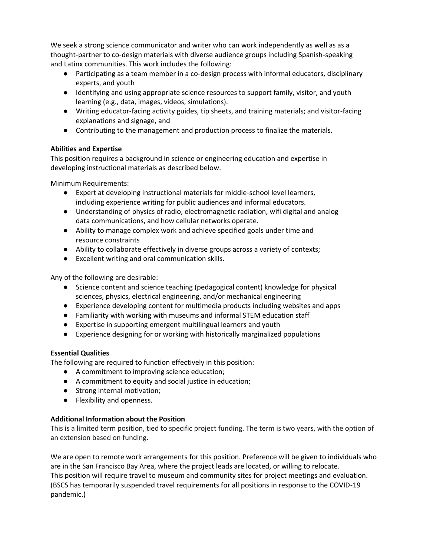We seek a strong science communicator and writer who can work independently as well as as a thought-partner to co-design materials with diverse audience groups including Spanish-speaking and Latinx communities. This work includes the following:

- Participating as a team member in a co-design process with informal educators, disciplinary experts, and youth
- Identifying and using appropriate science resources to support family, visitor, and youth learning (e.g., data, images, videos, simulations).
- Writing educator-facing activity guides, tip sheets, and training materials; and visitor-facing explanations and signage, and
- Contributing to the management and production process to finalize the materials.

## **Abilities and Expertise**

This position requires a background in science or engineering education and expertise in developing instructional materials as described below.

Minimum Requirements:

- Expert at developing instructional materials for middle-school level learners, including experience writing for public audiences and informal educators.
- Understanding of physics of radio, electromagnetic radiation, wifi digital and analog data communications, and how cellular networks operate.
- Ability to manage complex work and achieve specified goals under time and resource constraints
- Ability to collaborate effectively in diverse groups across a variety of contexts;
- Excellent writing and oral communication skills.

Any of the following are desirable:

- Science content and science teaching (pedagogical content) knowledge for physical sciences, physics, electrical engineering, and/or mechanical engineering
- Experience developing content for multimedia products including websites and apps
- Familiarity with working with museums and informal STEM education staff
- Expertise in supporting emergent multilingual learners and youth
- Experience designing for or working with historically marginalized populations

## **Essential Qualities**

The following are required to function effectively in this position:

- A commitment to improving science education;
- A commitment to equity and social justice in education;
- Strong internal motivation;
- Flexibility and openness.

## **Additional Information about the Position**

This is a limited term position, tied to specific project funding. The term is two years, with the option of an extension based on funding.

We are open to remote work arrangements for this position. Preference will be given to individuals who are in the San Francisco Bay Area, where the project leads are located, or willing to relocate. This position will require travel to museum and community sites for project meetings and evaluation. (BSCS has temporarily suspended travel requirements for all positions in response to the COVID-19 pandemic.)